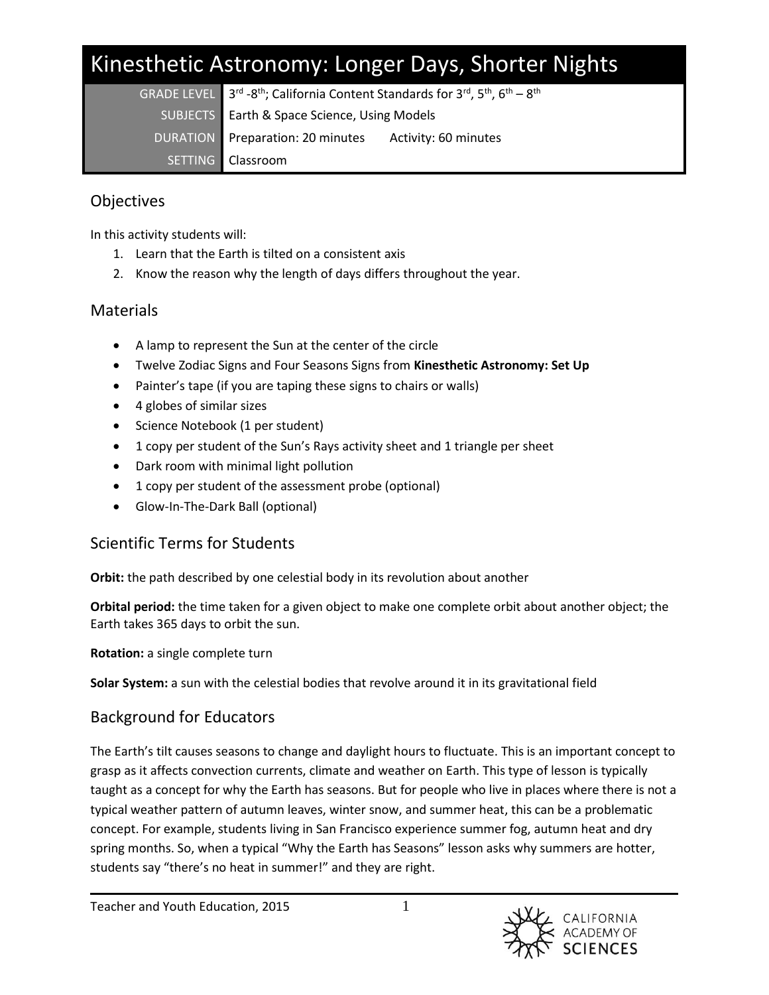# Kinesthetic Astronomy: Longer Days, Shorter Nights

| GRADE LEVEL $3^{\text{rd}}$ -8 <sup>th</sup> ; California Content Standards for 3 <sup>rd</sup> , 5 <sup>th</sup> , 6 <sup>th</sup> – 8 <sup>th</sup><br>SUBJECTS Earth & Space Science, Using Models |  |
|-------------------------------------------------------------------------------------------------------------------------------------------------------------------------------------------------------|--|
| DURATION Preparation: 20 minutes Activity: 60 minutes                                                                                                                                                 |  |
| SETTING Classroom                                                                                                                                                                                     |  |

# **Objectives**

In this activity students will:

- 1. Learn that the Earth is tilted on a consistent axis
- 2. Know the reason why the length of days differs throughout the year.

# Materials

- A lamp to represent the Sun at the center of the circle
- Twelve Zodiac Signs and Four Seasons Signs from **Kinesthetic Astronomy: Set Up**
- Painter's tape (if you are taping these signs to chairs or walls)
- 4 globes of similar sizes
- Science Notebook (1 per student)
- 1 copy per student of the Sun's Rays activity sheet and 1 triangle per sheet
- Dark room with minimal light pollution
- 1 copy per student of the assessment probe (optional)
- Glow-In-The-Dark Ball (optional)

# Scientific Terms for Students

**Orbit:** the path described by one celestial body in its revolution about another

**Orbital period:** the time taken for a given object to make one complete orbit about another object; the Earth takes 365 days to orbit the sun.

**Rotation:** a single complete turn

**Solar System:** a sun with the celestial bodies that revolve around it in its gravitational field

# Background for Educators

The Earth's tilt causes seasons to change and daylight hours to fluctuate. This is an important concept to grasp as it affects convection currents, climate and weather on Earth. This type of lesson is typically taught as a concept for why the Earth has seasons. But for people who live in places where there is not a typical weather pattern of autumn leaves, winter snow, and summer heat, this can be a problematic concept. For example, students living in San Francisco experience summer fog, autumn heat and dry spring months. So, when a typical "Why the Earth has Seasons" lesson asks why summers are hotter, students say "there's no heat in summer!" and they are right.

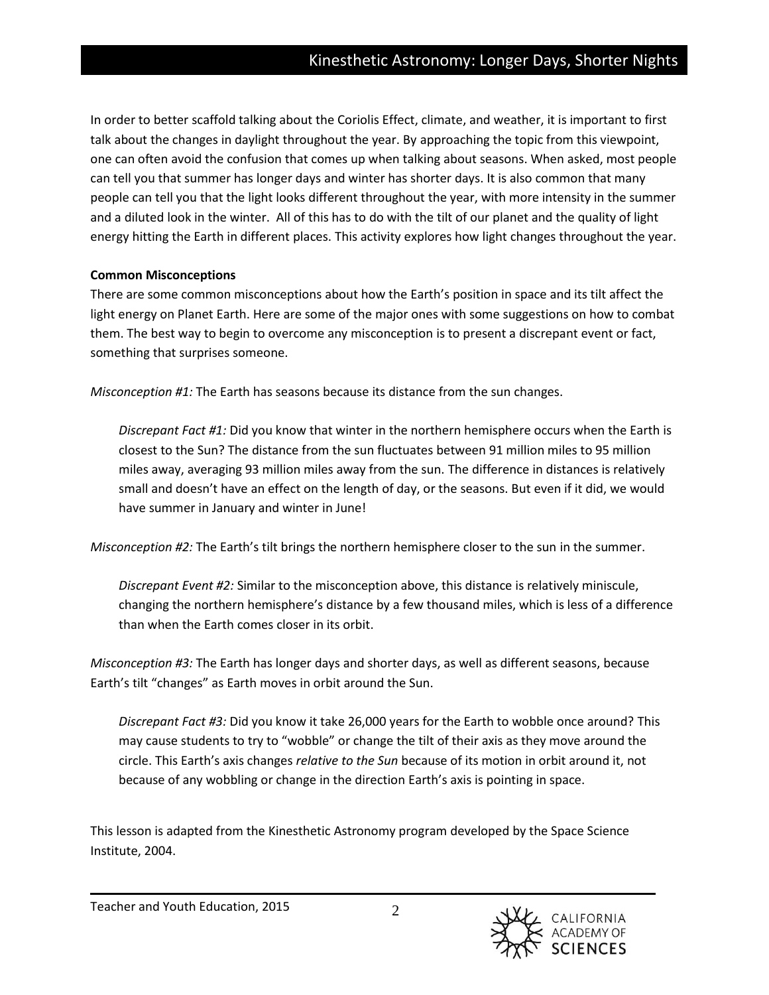In order to better scaffold talking about the Coriolis Effect, climate, and weather, it is important to first talk about the changes in daylight throughout the year. By approaching the topic from this viewpoint, one can often avoid the confusion that comes up when talking about seasons. When asked, most people can tell you that summer has longer days and winter has shorter days. It is also common that many people can tell you that the light looks different throughout the year, with more intensity in the summer and a diluted look in the winter. All of this has to do with the tilt of our planet and the quality of light energy hitting the Earth in different places. This activity explores how light changes throughout the year.

#### **Common Misconceptions**

There are some common misconceptions about how the Earth's position in space and its tilt affect the light energy on Planet Earth. Here are some of the major ones with some suggestions on how to combat them. The best way to begin to overcome any misconception is to present a discrepant event or fact, something that surprises someone.

*Misconception #1:* The Earth has seasons because its distance from the sun changes.

*Discrepant Fact #1:* Did you know that winter in the northern hemisphere occurs when the Earth is closest to the Sun? The distance from the sun fluctuates between 91 million miles to 95 million miles away, averaging 93 million miles away from the sun. The difference in distances is relatively small and doesn't have an effect on the length of day, or the seasons. But even if it did, we would have summer in January and winter in June!

*Misconception #2:* The Earth's tilt brings the northern hemisphere closer to the sun in the summer.

*Discrepant Event #2:* Similar to the misconception above, this distance is relatively miniscule, changing the northern hemisphere's distance by a few thousand miles, which is less of a difference than when the Earth comes closer in its orbit.

*Misconception #3:* The Earth has longer days and shorter days, as well as different seasons, because Earth's tilt "changes" as Earth moves in orbit around the Sun.

*Discrepant Fact #3:* Did you know it take 26,000 years for the Earth to wobble once around? This may cause students to try to "wobble" or change the tilt of their axis as they move around the circle. This Earth's axis changes *relative to the Sun* because of its motion in orbit around it, not because of any wobbling or change in the direction Earth's axis is pointing in space.

This lesson is adapted from the Kinesthetic Astronomy program developed by the Space Science Institute, 2004.

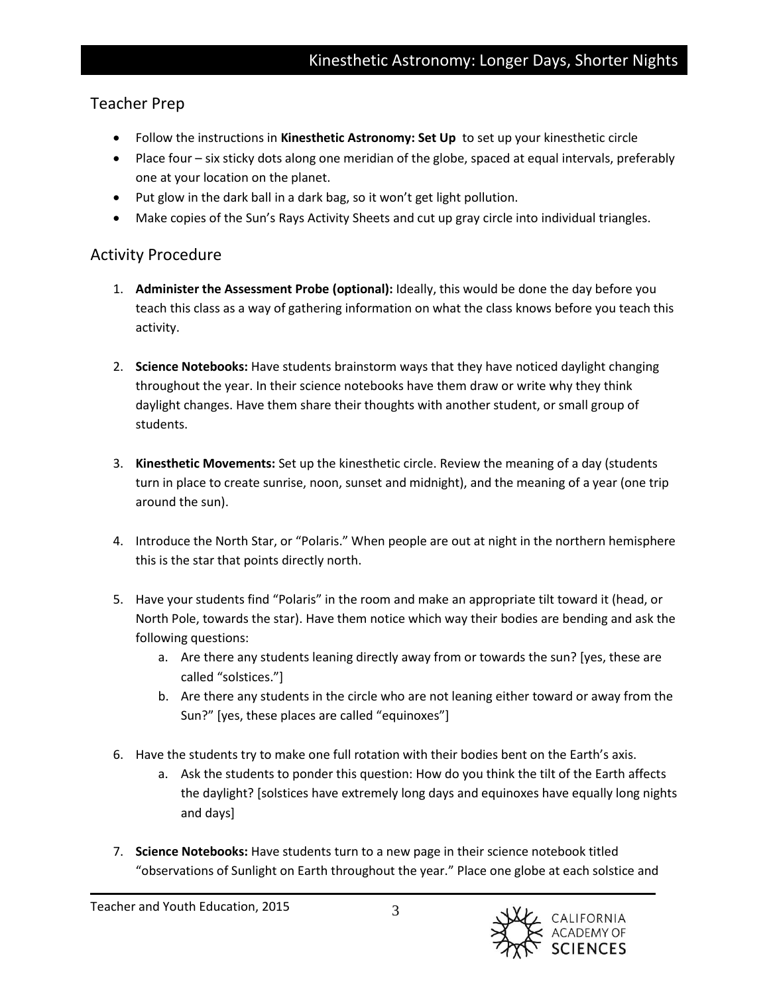## Teacher Prep

- Follow the instructions in **Kinesthetic Astronomy: Set Up** to set up your kinesthetic circle
- Place four six sticky dots along one meridian of the globe, spaced at equal intervals, preferably one at your location on the planet.
- Put glow in the dark ball in a dark bag, so it won't get light pollution.
- Make copies of the Sun's Rays Activity Sheets and cut up gray circle into individual triangles.

# Activity Procedure

- 1. **Administer the Assessment Probe (optional):** Ideally, this would be done the day before you teach this class as a way of gathering information on what the class knows before you teach this activity.
- 2. **Science Notebooks:** Have students brainstorm ways that they have noticed daylight changing throughout the year. In their science notebooks have them draw or write why they think daylight changes. Have them share their thoughts with another student, or small group of students.
- 3. **Kinesthetic Movements:** Set up the kinesthetic circle. Review the meaning of a day (students turn in place to create sunrise, noon, sunset and midnight), and the meaning of a year (one trip around the sun).
- 4. Introduce the North Star, or "Polaris." When people are out at night in the northern hemisphere this is the star that points directly north.
- 5. Have your students find "Polaris" in the room and make an appropriate tilt toward it (head, or North Pole, towards the star). Have them notice which way their bodies are bending and ask the following questions:
	- a. Are there any students leaning directly away from or towards the sun? [yes, these are called "solstices."]
	- b. Are there any students in the circle who are not leaning either toward or away from the Sun?" [yes, these places are called "equinoxes"]
- 6. Have the students try to make one full rotation with their bodies bent on the Earth's axis.
	- a. Ask the students to ponder this question: How do you think the tilt of the Earth affects the daylight? [solstices have extremely long days and equinoxes have equally long nights and days]
- 7. **Science Notebooks:** Have students turn to a new page in their science notebook titled "observations of Sunlight on Earth throughout the year." Place one globe at each solstice and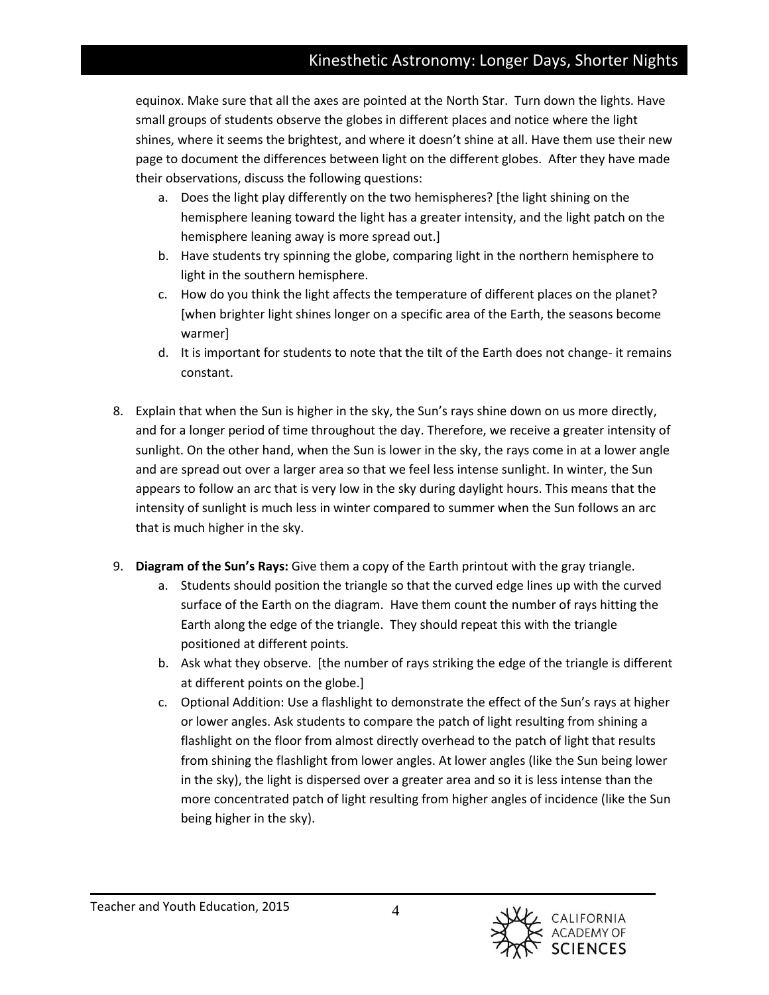# Kinesthetic Astronomy: Longer Days, Shorter Nights

equinox. Make sure that all the axes are pointed at the North Star. Turn down the lights. Have small groups of students observe the globes in different places and notice where the light shines, where it seems the brightest, and where it doesn't shine at all. Have them use their new page to document the differences between light on the different globes. After they have made their observations, discuss the following questions:

- a. Does the light play differently on the two hemispheres? [the light shining on the hemisphere leaning toward the light has a greater intensity, and the light patch on the hemisphere leaning away is more spread out.]
- b. Have students try spinning the globe, comparing light in the northern hemisphere to light in the southern hemisphere.
- c. How do you think the light affects the temperature of different places on the planet? [when brighter light shines longer on a specific area of the Earth, the seasons become warmer]
- d. It is important for students to note that the tilt of the Earth does not change- it remains constant.
- 8. Explain that when the Sun is higher in the sky, the Sun's rays shine down on us more directly, and for a longer period of time throughout the day. Therefore, we receive a greater intensity of sunlight. On the other hand, when the Sun is lower in the sky, the rays come in at a lower angle and are spread out over a larger area so that we feel less intense sunlight. In winter, the Sun appears to follow an arc that is very low in the sky during daylight hours. This means that the intensity of sunlight is much less in winter compared to summer when the Sun follows an arc that is much higher in the sky.
- 9. **Diagram of the Sun's Rays:** Give them a copy of the Earth printout with the gray triangle.
	- a. Students should position the triangle so that the curved edge lines up with the curved surface of the Earth on the diagram. Have them count the number of rays hitting the Earth along the edge of the triangle. They should repeat this with the triangle positioned at different points.
	- b. Ask what they observe. [the number of rays striking the edge of the triangle is different at different points on the globe.]
	- c. Optional Addition: Use a flashlight to demonstrate the effect of the Sun's rays at higher or lower angles. Ask students to compare the patch of light resulting from shining a flashlight on the floor from almost directly overhead to the patch of light that results from shining the flashlight from lower angles. At lower angles (like the Sun being lower in the sky), the light is dispersed over a greater area and so it is less intense than the more concentrated patch of light resulting from higher angles of incidence (like the Sun being higher in the sky).

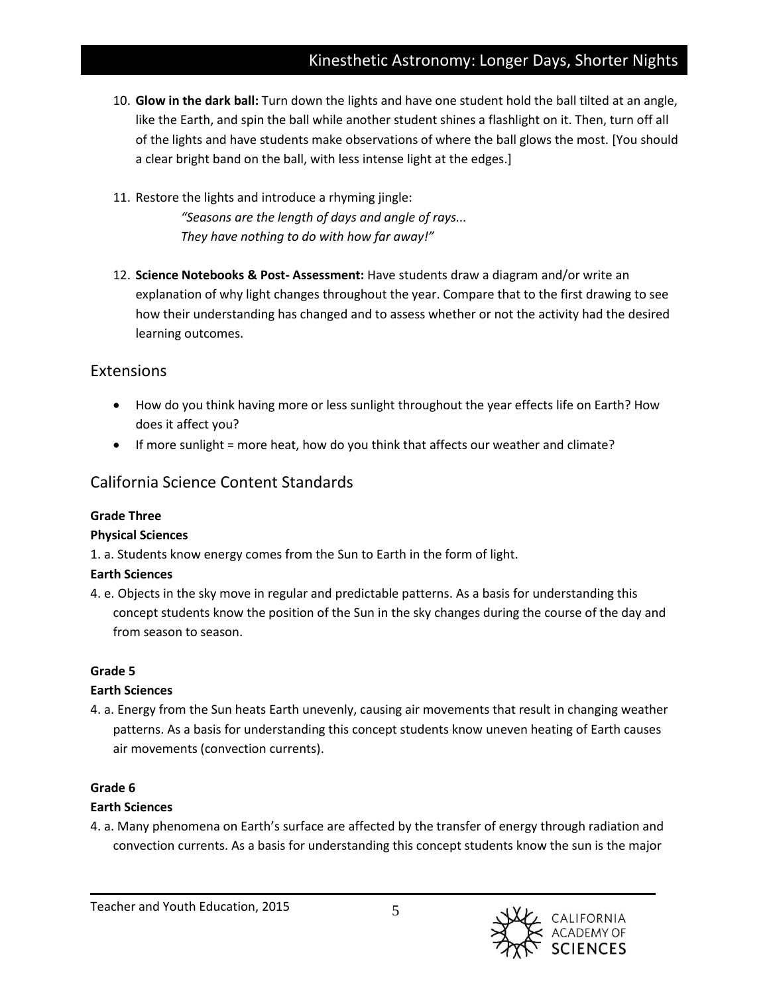# Kinesthetic Astronomy: Longer Days, Shorter Nights

- 10. **Glow in the dark ball:** Turn down the lights and have one student hold the ball tilted at an angle, like the Earth, and spin the ball while another student shines a flashlight on it. Then, turn off all of the lights and have students make observations of where the ball glows the most. [You should a clear bright band on the ball, with less intense light at the edges.]
- 11. Restore the lights and introduce a rhyming jingle: *"Seasons are the length of days and angle of rays... They have nothing to do with how far away!"*
- 12. **Science Notebooks & Post- Assessment:** Have students draw a diagram and/or write an explanation of why light changes throughout the year. Compare that to the first drawing to see how their understanding has changed and to assess whether or not the activity had the desired learning outcomes.

## Extensions

- How do you think having more or less sunlight throughout the year effects life on Earth? How does it affect you?
- If more sunlight = more heat, how do you think that affects our weather and climate?

# California Science Content Standards

#### **Grade Three**

#### **Physical Sciences**

1. a. Students know energy comes from the Sun to Earth in the form of light.

## **Earth Sciences**

4. e. Objects in the sky move in regular and predictable patterns. As a basis for understanding this concept students know the position of the Sun in the sky changes during the course of the day and from season to season.

## **Grade 5**

## **Earth Sciences**

4. a. Energy from the Sun heats Earth unevenly, causing air movements that result in changing weather patterns. As a basis for understanding this concept students know uneven heating of Earth causes air movements (convection currents).

## **Grade 6**

## **Earth Sciences**

4. a. Many phenomena on Earth's surface are affected by the transfer of energy through radiation and convection currents. As a basis for understanding this concept students know the sun is the major